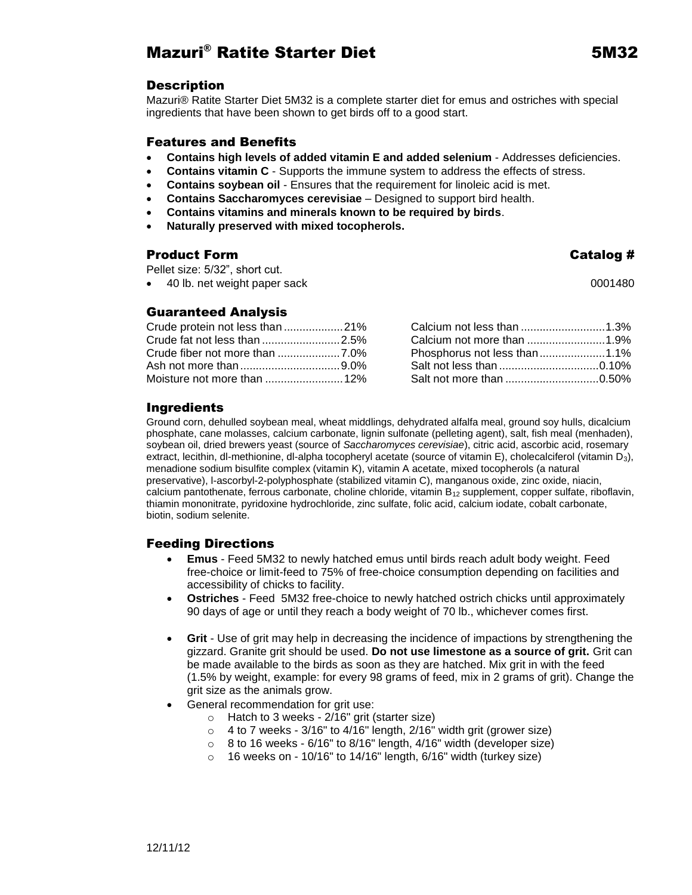# Mazuri® Ratite Starter Diet 5M32

### **Description**

Mazuri® Ratite Starter Diet 5M32 is a complete starter diet for emus and ostriches with special ingredients that have been shown to get birds off to a good start.

#### Features and Benefits

- **Contains high levels of added vitamin E and added selenium** Addresses deficiencies.
- **Contains vitamin C** Supports the immune system to address the effects of stress.
- **Contains soybean oil** Ensures that the requirement for linoleic acid is met.
- **Contains Saccharomyces cerevisiae** Designed to support bird health.
- **Contains vitamins and minerals known to be required by birds**.
- **Naturally preserved with mixed tocopherols.**

## Product Form **Catalog #**

Pellet size: 5/32", short cut.

40 lb. net weight paper sack 0001480

### Guaranteed Analysis

| Crude protein not less than 21% |                              |
|---------------------------------|------------------------------|
| Crude fat not less than 2.5%    |                              |
|                                 | Phosphorus not less than1.1% |
|                                 |                              |
|                                 |                              |

### Ingredients

Ground corn, dehulled soybean meal, wheat middlings, dehydrated alfalfa meal, ground soy hulls, dicalcium phosphate, cane molasses, calcium carbonate, lignin sulfonate (pelleting agent), salt, fish meal (menhaden), soybean oil, dried brewers yeast (source of *Saccharomyces cerevisiae*), citric acid, ascorbic acid, rosemary extract, lecithin, dl-methionine, dl-alpha tocopheryl acetate (source of vitamin E), cholecalciferol (vitamin D<sub>3</sub>), menadione sodium bisulfite complex (vitamin K), vitamin A acetate, mixed tocopherols (a natural preservative), l-ascorbyl-2-polyphosphate (stabilized vitamin C), manganous oxide, zinc oxide, niacin, calcium pantothenate, ferrous carbonate, choline chloride, vitamin  $B_{12}$  supplement, copper sulfate, riboflavin, thiamin mononitrate, pyridoxine hydrochloride, zinc sulfate, folic acid, calcium iodate, cobalt carbonate, biotin, sodium selenite.

### Feeding Directions

- **Emus** Feed 5M32 to newly hatched emus until birds reach adult body weight. Feed free-choice or limit-feed to 75% of free-choice consumption depending on facilities and accessibility of chicks to facility.
- **Ostriches** Feed 5M32 free-choice to newly hatched ostrich chicks until approximately 90 days of age or until they reach a body weight of 70 lb., whichever comes first.
- **Grit** Use of grit may help in decreasing the incidence of impactions by strengthening the gizzard. Granite grit should be used. **Do not use limestone as a source of grit.** Grit can be made available to the birds as soon as they are hatched. Mix grit in with the feed (1.5% by weight, example: for every 98 grams of feed, mix in 2 grams of grit). Change the grit size as the animals grow.
- General recommendation for grit use:
	- o Hatch to 3 weeks 2/16" grit (starter size)
	- $\circ$  4 to 7 weeks 3/16" to 4/16" length, 2/16" width grit (grower size)
	- $\circ$  8 to 16 weeks 6/16" to 8/16" length, 4/16" width (developer size)
	- o 16 weeks on 10/16" to 14/16" length, 6/16" width (turkey size)